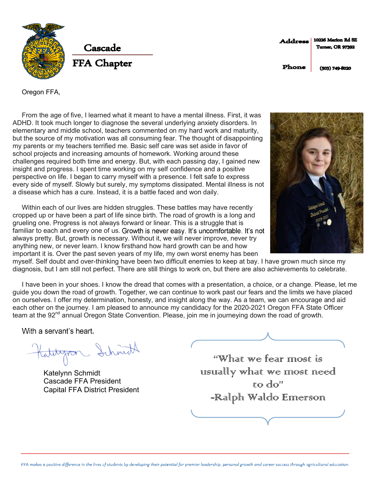

10226 Marlon Rd SE Address **Turner, OR 97392** 

Phone

 $(503)$  749-8020

Oregon FFA,

From the age of five, I learned what it meant to have a mental illness. First, it was ADHD. It took much longer to diagnose the several underlying anxiety disorders. In elementary and middle school, teachers commented on my hard work and maturity, but the source of my motivation was all consuming fear. The thought of disappointing my parents or my teachers terrified me. Basic self care was set aside in favor of school projects and increasing amounts of homework. Working around these challenges required both time and energy. But, with each passing day, I gained new insight and progress. I spent time working on my self confidence and a positive perspective on life. I began to carry myself with a presence. I felt safe to express every side of myself. Slowly but surely, my symptoms dissipated. Mental illness is not a disease which has a cure. Instead, it is a battle faced and won daily.

Within each of our lives are hidden struggles. These battles may have recently cropped up or have been a part of life since birth. The road of growth is a long and grueling one. Progress is not always forward or linear. This is a struggle that is familiar to each and every one of us. Growth is never easy. It's uncomfortable, It's not always pretty. But, growth is necessary. Without it, we will never improve, never try anything new, or never learn. I know firsthand how hard growth can be and how important it is. Over the past seven years of my life, my own worst enemy has been



myself. Self doubt and over-thinking have been two difficult enemies to keep at bay. I have grown much since my diagnosis, but I am still not perfect. There are still things to work on, but there are also achievements to celebrate.

I have been in your shoes. I know the dread that comes with a presentation, a choice, or a change. Please, let me guide you down the road of growth. Together, we can continue to work past our fears and the limits we have placed on ourselves. I offer my determination, honesty, and insight along the way. As a team, we can encourage and aid each other on the journey. I am pleased to announce my candidacy for the 2020-2021 Oregon FFA State Officer team at the 92<sup>nd</sup> annual Oregon State Convention. Please, join me in journeying down the road of growth.

With a servant's heart.

Hatebyron Schmitt

Katelynn Schmidt Cascade FFA President Capital FFA District President

"What we fear most is ursurally what we most need  $\mathbb{R}^n$  do<sup>11</sup> -Ralph Waldo Emerson